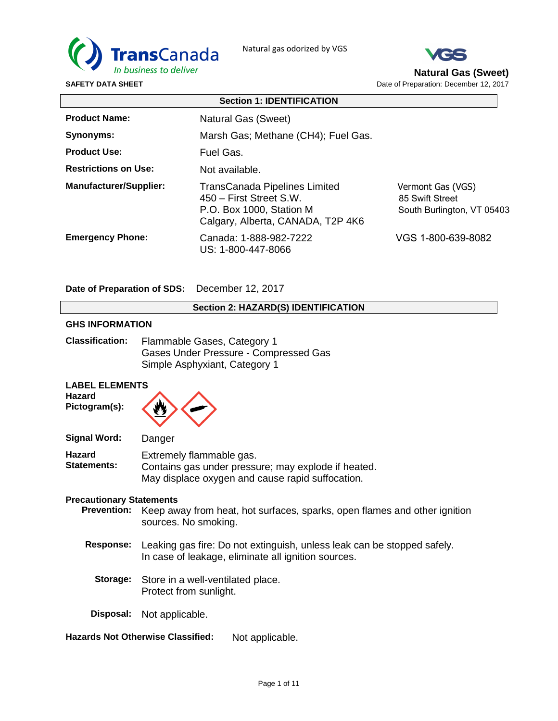



**Natural Gas (Sweet)** Date of Preparation: December 12, 2017

**Section 1: IDENTIFICATION Product Name: Synonyms: Product Use: Restrictions on Use: Manufacturer/Supplier: Emergency Phone:** Natural Gas (Sweet) Marsh Gas; Methane (CH4); Fuel Gas. Fuel Gas. Not available. TransCanada Pipelines Limited Vermont Gas (VGS) 450 – First Street S.W. 85 Swift Street P.O. Box 1000, Station M South Burlington, VT 05403 Calgary, Alberta, CANADA, T2P 4K6 Canada: 1-888-982-7222 VGS 1-800-639-8082 US: 1-800-447-8066

**Date of Preparation of SDS:** December 12, 2017

## **Section 2: HAZARD(S) IDENTIFICATION**

#### **GHS INFORMATION**

| <b>Classification:</b> | Flammable Gases, Category 1           |
|------------------------|---------------------------------------|
|                        | Gases Under Pressure - Compressed Gas |
|                        | Simple Asphyxiant, Category 1         |

## **LABEL ELEMENTS**

**Hazard Pictogram(s):**



| Signal Word:                        | Danger                                                                                                                              |
|-------------------------------------|-------------------------------------------------------------------------------------------------------------------------------------|
| <b>Hazard</b><br><b>Statements:</b> | Extremely flammable gas.<br>Contains gas under pressure; may explode if heated.<br>May displace oxygen and cause rapid suffocation. |

#### **Precautionary Statements**

- **Prevention:** Keep away from heat, hot surfaces, sparks, open flames and other ignition sources. No smoking.
- **Response:** Leaking gas fire: Do not extinguish, unless leak can be stopped safely. In case of leakage, eliminate all ignition sources.
	- **Storage:** Store in a well-ventilated place. Protect from sunlight.
- **Disposal:** Not applicable.
- **Hazards Not Otherwise Classified:** Not applicable.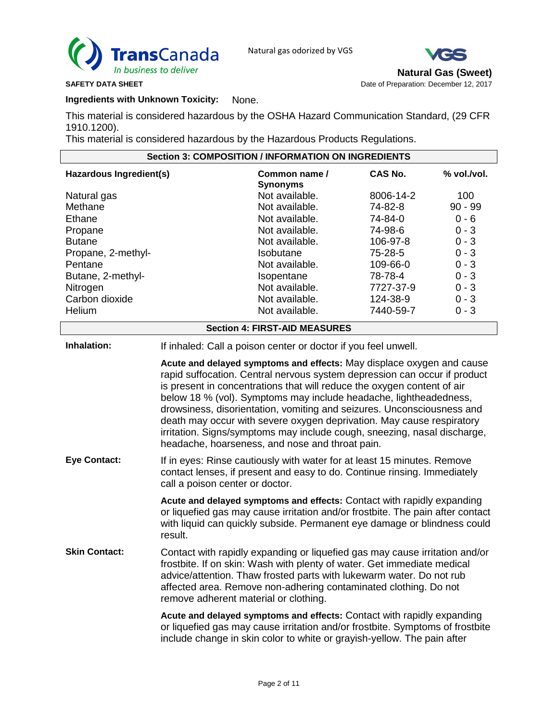



**Natural Gas (Sweet)**

**SAFETY DATA SHEET DATA SHEET Date of Preparation: December 12, 2017 Date of Preparation: December 12, 2017** 

# **Ingredients with Unknown Toxicity:** None.

This material is considered hazardous by the OSHA Hazard Communication Standard, (29 CFR 1910.1200).

This material is considered hazardous by the Hazardous Products Regulations.

| <b>Section 3: COMPOSITION / INFORMATION ON INGREDIENTS</b>                     |                                                                                                                                                                                                                                                                                                                                                                                                                                                                                                                                                                                      |                                                                                                                                                                                                                                                                                                    |                                                       |                                                     |
|--------------------------------------------------------------------------------|--------------------------------------------------------------------------------------------------------------------------------------------------------------------------------------------------------------------------------------------------------------------------------------------------------------------------------------------------------------------------------------------------------------------------------------------------------------------------------------------------------------------------------------------------------------------------------------|----------------------------------------------------------------------------------------------------------------------------------------------------------------------------------------------------------------------------------------------------------------------------------------------------|-------------------------------------------------------|-----------------------------------------------------|
| Hazardous Ingredient(s)                                                        |                                                                                                                                                                                                                                                                                                                                                                                                                                                                                                                                                                                      | Common name /<br><b>Synonyms</b>                                                                                                                                                                                                                                                                   | <b>CAS No.</b>                                        | % vol./vol.                                         |
| Natural gas<br>Methane<br>Ethane                                               |                                                                                                                                                                                                                                                                                                                                                                                                                                                                                                                                                                                      | Not available.<br>Not available.<br>Not available.                                                                                                                                                                                                                                                 | 8006-14-2<br>74-82-8<br>74-84-0                       | 100<br>$90 - 99$<br>$0 - 6$                         |
| Propane<br><b>Butane</b><br>Propane, 2-methyl-<br>Pentane<br>Butane, 2-methyl- |                                                                                                                                                                                                                                                                                                                                                                                                                                                                                                                                                                                      | Not available.<br>Not available.<br>Isobutane<br>Not available.<br>Isopentane                                                                                                                                                                                                                      | 74-98-6<br>106-97-8<br>75-28-5<br>109-66-0<br>78-78-4 | $0 - 3$<br>$0 - 3$<br>$0 - 3$<br>$0 - 3$<br>$0 - 3$ |
| Nitrogen<br>Carbon dioxide<br>Helium                                           |                                                                                                                                                                                                                                                                                                                                                                                                                                                                                                                                                                                      | Not available.<br>Not available.<br>Not available.                                                                                                                                                                                                                                                 | 7727-37-9<br>124-38-9<br>7440-59-7                    | $0 - 3$<br>$0 - 3$<br>$0 - 3$                       |
|                                                                                |                                                                                                                                                                                                                                                                                                                                                                                                                                                                                                                                                                                      | <b>Section 4: FIRST-AID MEASURES</b>                                                                                                                                                                                                                                                               |                                                       |                                                     |
| Inhalation:                                                                    |                                                                                                                                                                                                                                                                                                                                                                                                                                                                                                                                                                                      | If inhaled: Call a poison center or doctor if you feel unwell.                                                                                                                                                                                                                                     |                                                       |                                                     |
|                                                                                | Acute and delayed symptoms and effects: May displace oxygen and cause<br>rapid suffocation. Central nervous system depression can occur if product<br>is present in concentrations that will reduce the oxygen content of air<br>below 18 % (vol). Symptoms may include headache, lightheadedness,<br>drowsiness, disorientation, vomiting and seizures. Unconsciousness and<br>death may occur with severe oxygen deprivation. May cause respiratory<br>irritation. Signs/symptoms may include cough, sneezing, nasal discharge,<br>headache, hoarseness, and nose and throat pain. |                                                                                                                                                                                                                                                                                                    |                                                       |                                                     |
| <b>Eye Contact:</b>                                                            | If in eyes: Rinse cautiously with water for at least 15 minutes. Remove<br>contact lenses, if present and easy to do. Continue rinsing. Immediately<br>call a poison center or doctor.                                                                                                                                                                                                                                                                                                                                                                                               |                                                                                                                                                                                                                                                                                                    |                                                       |                                                     |
|                                                                                | result.                                                                                                                                                                                                                                                                                                                                                                                                                                                                                                                                                                              | Acute and delayed symptoms and effects: Contact with rapidly expanding<br>or liquefied gas may cause irritation and/or frostbite. The pain after contact<br>with liquid can quickly subside. Permanent eye damage or blindness could                                                               |                                                       |                                                     |
| <b>Skin Contact:</b>                                                           | remove adherent material or clothing.                                                                                                                                                                                                                                                                                                                                                                                                                                                                                                                                                | Contact with rapidly expanding or liquefied gas may cause irritation and/or<br>frostbite. If on skin: Wash with plenty of water. Get immediate medical<br>advice/attention. Thaw frosted parts with lukewarm water. Do not rub<br>affected area. Remove non-adhering contaminated clothing. Do not |                                                       |                                                     |
|                                                                                |                                                                                                                                                                                                                                                                                                                                                                                                                                                                                                                                                                                      | Acute and delayed symptoms and effects: Contact with rapidly expanding<br>or liquefied gas may cause irritation and/or frostbite. Symptoms of frostbite<br>include change in skin color to white or grayish-yellow. The pain after                                                                 |                                                       |                                                     |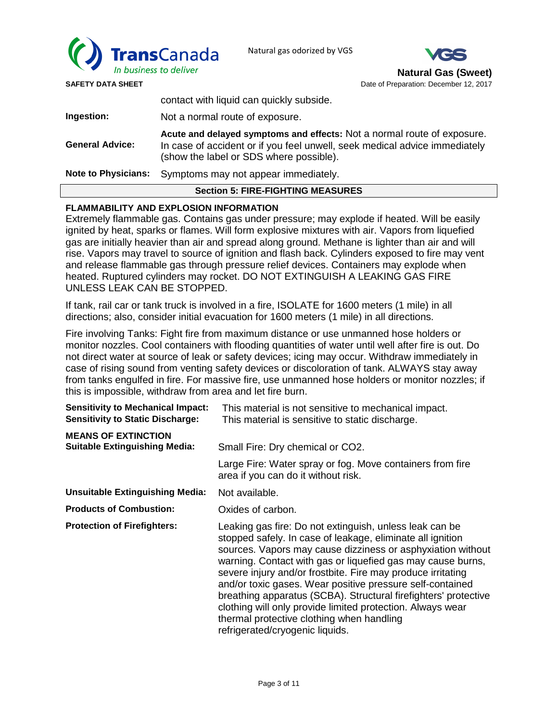



| <b>Section 5: FIRE-FIGHTING MEASURES</b> |                                                                                                                                                                                                  |  |  |
|------------------------------------------|--------------------------------------------------------------------------------------------------------------------------------------------------------------------------------------------------|--|--|
| <b>Note to Physicians:</b>               | Symptoms may not appear immediately.                                                                                                                                                             |  |  |
| <b>General Advice:</b>                   | Acute and delayed symptoms and effects: Not a normal route of exposure.<br>In case of accident or if you feel unwell, seek medical advice immediately<br>(show the label or SDS where possible). |  |  |
| Ingestion:                               | Not a normal route of exposure.                                                                                                                                                                  |  |  |
|                                          | contact with liquid can quickly subside.                                                                                                                                                         |  |  |

## **FLAMMABILITY AND EXPLOSION INFORMATION**

Extremely flammable gas. Contains gas under pressure; may explode if heated. Will be easily ignited by heat, sparks or flames. Will form explosive mixtures with air. Vapors from liquefied gas are initially heavier than air and spread along ground. Methane is lighter than air and will rise. Vapors may travel to source of ignition and flash back. Cylinders exposed to fire may vent and release flammable gas through pressure relief devices. Containers may explode when heated. Ruptured cylinders may rocket. DO NOT EXTINGUISH A LEAKING GAS FIRE UNLESS LEAK CAN BE STOPPED.

If tank, rail car or tank truck is involved in a fire, ISOLATE for 1600 meters (1 mile) in all directions; also, consider initial evacuation for 1600 meters (1 mile) in all directions.

Fire involving Tanks: Fight fire from maximum distance or use unmanned hose holders or monitor nozzles. Cool containers with flooding quantities of water until well after fire is out. Do not direct water at source of leak or safety devices; icing may occur. Withdraw immediately in case of rising sound from venting safety devices or discoloration of tank. ALWAYS stay away from tanks engulfed in fire. For massive fire, use unmanned hose holders or monitor nozzles; if this is impossible, withdraw from area and let fire burn.

| <b>Sensitivity to Mechanical Impact:</b><br><b>Sensitivity to Static Discharge:</b> | This material is not sensitive to mechanical impact.<br>This material is sensitive to static discharge.                                                                                                                                                                                                                                                                                                                                                                                                                                                                                          |  |  |
|-------------------------------------------------------------------------------------|--------------------------------------------------------------------------------------------------------------------------------------------------------------------------------------------------------------------------------------------------------------------------------------------------------------------------------------------------------------------------------------------------------------------------------------------------------------------------------------------------------------------------------------------------------------------------------------------------|--|--|
| <b>MEANS OF EXTINCTION</b><br><b>Suitable Extinguishing Media:</b>                  | Small Fire: Dry chemical or CO2.                                                                                                                                                                                                                                                                                                                                                                                                                                                                                                                                                                 |  |  |
|                                                                                     | Large Fire: Water spray or fog. Move containers from fire<br>area if you can do it without risk.                                                                                                                                                                                                                                                                                                                                                                                                                                                                                                 |  |  |
| <b>Unsuitable Extinguishing Media:</b>                                              | Not available.                                                                                                                                                                                                                                                                                                                                                                                                                                                                                                                                                                                   |  |  |
| <b>Products of Combustion:</b>                                                      | Oxides of carbon.                                                                                                                                                                                                                                                                                                                                                                                                                                                                                                                                                                                |  |  |
| <b>Protection of Firefighters:</b>                                                  | Leaking gas fire: Do not extinguish, unless leak can be<br>stopped safely. In case of leakage, eliminate all ignition<br>sources. Vapors may cause dizziness or asphyxiation without<br>warning. Contact with gas or liquefied gas may cause burns,<br>severe injury and/or frostbite. Fire may produce irritating<br>and/or toxic gases. Wear positive pressure self-contained<br>breathing apparatus (SCBA). Structural firefighters' protective<br>clothing will only provide limited protection. Always wear<br>thermal protective clothing when handling<br>refrigerated/cryogenic liquids. |  |  |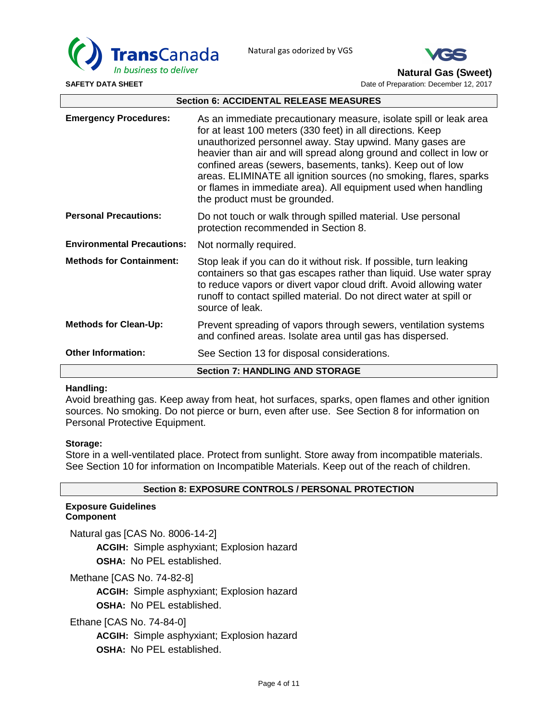



**Natural Gas (Sweet)**

**SAFETY DATA SHEET DATA SHEET Date of Preparation: December 12, 2017 Date of Preparation: December 12, 2017** 

| <b>Section 6: ACCIDENTAL RELEASE MEASURES</b> |                                                                                                                                                                                                                                                                                                                                                                                                                                                                                                          |  |  |
|-----------------------------------------------|----------------------------------------------------------------------------------------------------------------------------------------------------------------------------------------------------------------------------------------------------------------------------------------------------------------------------------------------------------------------------------------------------------------------------------------------------------------------------------------------------------|--|--|
| <b>Emergency Procedures:</b>                  | As an immediate precautionary measure, isolate spill or leak area<br>for at least 100 meters (330 feet) in all directions. Keep<br>unauthorized personnel away. Stay upwind. Many gases are<br>heavier than air and will spread along ground and collect in low or<br>confined areas (sewers, basements, tanks). Keep out of low<br>areas. ELIMINATE all ignition sources (no smoking, flares, sparks<br>or flames in immediate area). All equipment used when handling<br>the product must be grounded. |  |  |
| <b>Personal Precautions:</b>                  | Do not touch or walk through spilled material. Use personal<br>protection recommended in Section 8.                                                                                                                                                                                                                                                                                                                                                                                                      |  |  |
| <b>Environmental Precautions:</b>             | Not normally required.                                                                                                                                                                                                                                                                                                                                                                                                                                                                                   |  |  |
| <b>Methods for Containment:</b>               | Stop leak if you can do it without risk. If possible, turn leaking<br>containers so that gas escapes rather than liquid. Use water spray<br>to reduce vapors or divert vapor cloud drift. Avoid allowing water<br>runoff to contact spilled material. Do not direct water at spill or<br>source of leak.                                                                                                                                                                                                 |  |  |
| <b>Methods for Clean-Up:</b>                  | Prevent spreading of vapors through sewers, ventilation systems<br>and confined areas. Isolate area until gas has dispersed.                                                                                                                                                                                                                                                                                                                                                                             |  |  |
| <b>Other Information:</b>                     | See Section 13 for disposal considerations.                                                                                                                                                                                                                                                                                                                                                                                                                                                              |  |  |
|                                               | <b>Section 7: HANDLING AND STORAGE</b>                                                                                                                                                                                                                                                                                                                                                                                                                                                                   |  |  |

## **Handling:**

Avoid breathing gas. Keep away from heat, hot surfaces, sparks, open flames and other ignition sources. No smoking. Do not pierce or burn, even after use. See Section 8 for information on Personal Protective Equipment.

## **Storage:**

Store in a well-ventilated place. Protect from sunlight. Store away from incompatible materials. See Section 10 for information on Incompatible Materials. Keep out of the reach of children.

## **Section 8: EXPOSURE CONTROLS / PERSONAL PROTECTION**

#### **Exposure Guidelines Component**

Natural gas [CAS No. 8006-14-2] **ACGIH:** Simple asphyxiant; Explosion hazard **OSHA:** No PEL established.

Methane [CAS No. 74-82-8]

**ACGIH:** Simple asphyxiant; Explosion hazard **OSHA:** No PEL established.

Ethane [CAS No. 74-84-0]

**ACGIH:** Simple asphyxiant; Explosion hazard **OSHA:** No PEL established.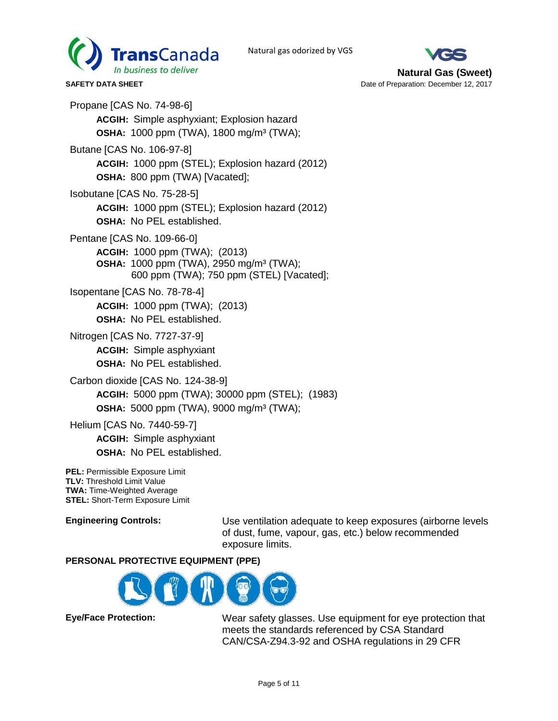



Propane [CAS No. 74-98-6] **ACGIH:** Simple asphyxiant; Explosion hazard **OSHA:** 1000 ppm (TWA), 1800 mg/m³ (TWA); Butane [CAS No. 106-97-8] **ACGIH:** 1000 ppm (STEL); Explosion hazard (2012) **OSHA:** 800 ppm (TWA) [Vacated]; Isobutane [CAS No. 75-28-5] **ACGIH:** 1000 ppm (STEL); Explosion hazard (2012) **OSHA:** No PEL established. Pentane [CAS No. 109-66-0] **ACGIH:** 1000 ppm (TWA); (2013) **OSHA:** 1000 ppm (TWA), 2950 mg/m³ (TWA); 600 ppm (TWA); 750 ppm (STEL) [Vacated]; Isopentane [CAS No. 78-78-4] **ACGIH:** 1000 ppm (TWA); (2013) **OSHA:** No PEL established. Nitrogen [CAS No. 7727-37-9] **ACGIH:** Simple asphyxiant **OSHA:** No PEL established. Carbon dioxide [CAS No. 124-38-9] **ACGIH:** 5000 ppm (TWA); 30000 ppm (STEL); (1983) **OSHA:** 5000 ppm (TWA), 9000 mg/m³ (TWA);

Helium [CAS No. 7440-59-7]

**ACGIH:** Simple asphyxiant **OSHA:** No PEL established.

**PEL:** Permissible Exposure Limit **TLV:** Threshold Limit Value **TWA:** Time-Weighted Average **STEL:** Short-Term Exposure Limit

**Engineering Controls:** Use ventilation adequate to keep exposures (airborne levels of dust, fume, vapour, gas, etc.) below recommended exposure limits.

# **PERSONAL PROTECTIVE EQUIPMENT (PPE)**



**Eye/Face Protection:** Wear safety glasses. Use equipment for eye protection that meets the standards referenced by CSA Standard CAN/CSA-Z94.3-92 and OSHA regulations in 29 CFR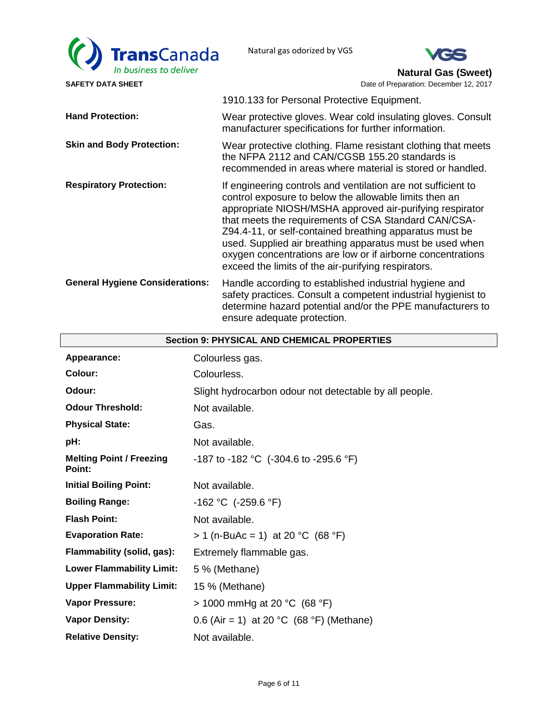



**Natural Gas (Sweet)**

|                                        | 1910.133 for Personal Protective Equipment.                                                                                                                                                                                                                                                                                                                                                                                                                                              |
|----------------------------------------|------------------------------------------------------------------------------------------------------------------------------------------------------------------------------------------------------------------------------------------------------------------------------------------------------------------------------------------------------------------------------------------------------------------------------------------------------------------------------------------|
| <b>Hand Protection:</b>                | Wear protective gloves. Wear cold insulating gloves. Consult<br>manufacturer specifications for further information.                                                                                                                                                                                                                                                                                                                                                                     |
| <b>Skin and Body Protection:</b>       | Wear protective clothing. Flame resistant clothing that meets<br>the NFPA 2112 and CAN/CGSB 155.20 standards is<br>recommended in areas where material is stored or handled.                                                                                                                                                                                                                                                                                                             |
| <b>Respiratory Protection:</b>         | If engineering controls and ventilation are not sufficient to<br>control exposure to below the allowable limits then an<br>appropriate NIOSH/MSHA approved air-purifying respirator<br>that meets the requirements of CSA Standard CAN/CSA-<br>Z94.4-11, or self-contained breathing apparatus must be<br>used. Supplied air breathing apparatus must be used when<br>oxygen concentrations are low or if airborne concentrations<br>exceed the limits of the air-purifying respirators. |
| <b>General Hygiene Considerations:</b> | Handle according to established industrial hygiene and<br>safety practices. Consult a competent industrial hygienist to<br>determine hazard potential and/or the PPE manufacturers to<br>ensure adequate protection.                                                                                                                                                                                                                                                                     |

| <b>Section 9: PHYSICAL AND CHEMICAL PROPERTIES</b> |                                                        |  |
|----------------------------------------------------|--------------------------------------------------------|--|
| Appearance:                                        | Colourless gas.                                        |  |
| Colour:                                            | Colourless.                                            |  |
| Odour:                                             | Slight hydrocarbon odour not detectable by all people. |  |
| <b>Odour Threshold:</b>                            | Not available.                                         |  |
| <b>Physical State:</b>                             | Gas.                                                   |  |
| pH:                                                | Not available.                                         |  |
| <b>Melting Point / Freezing</b><br>Point:          | -187 to -182 °C (-304.6 to -295.6 °F)                  |  |
| <b>Initial Boiling Point:</b>                      | Not available.                                         |  |
| <b>Boiling Range:</b>                              | -162 °C (-259.6 °F)                                    |  |
| <b>Flash Point:</b>                                | Not available.                                         |  |
| <b>Evaporation Rate:</b>                           | $> 1$ (n-BuAc = 1) at 20 °C (68 °F)                    |  |
| Flammability (solid, gas):                         | Extremely flammable gas.                               |  |
| <b>Lower Flammability Limit:</b>                   | 5 % (Methane)                                          |  |
| <b>Upper Flammability Limit:</b>                   | 15 % (Methane)                                         |  |
| <b>Vapor Pressure:</b>                             | $> 1000$ mmHg at 20 °C (68 °F)                         |  |
| <b>Vapor Density:</b>                              | 0.6 (Air = 1) at 20 °C (68 °F) (Methane)               |  |
| <b>Relative Density:</b>                           | Not available.                                         |  |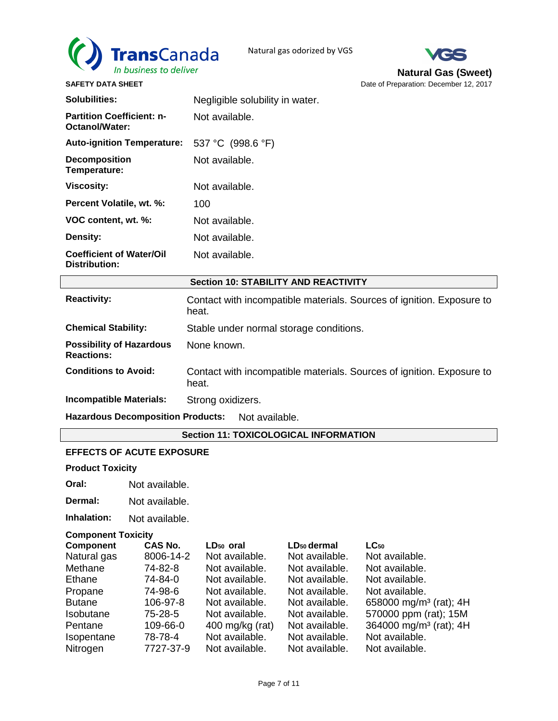



**SAFETY DATA SHEET DATA SHEET Date of Preparation: December 12, 2017 Date of Preparation: December 12, 2017** 

| <b>Solubilities:</b>                                       | Negligible solubility in water.                                                |  |  |
|------------------------------------------------------------|--------------------------------------------------------------------------------|--|--|
| <b>Partition Coefficient: n-</b><br>Octanol/Water:         | Not available.                                                                 |  |  |
| <b>Auto-ignition Temperature:</b>                          | 537 °C (998.6 °F)                                                              |  |  |
| <b>Decomposition</b><br>Temperature:                       | Not available.                                                                 |  |  |
| <b>Viscosity:</b>                                          | Not available.                                                                 |  |  |
| Percent Volatile, wt. %:                                   | 100                                                                            |  |  |
| VOC content, wt. %:                                        | Not available.                                                                 |  |  |
| Density:                                                   | Not available.                                                                 |  |  |
| <b>Coefficient of Water/Oil</b><br><b>Distribution:</b>    | Not available.                                                                 |  |  |
| <b>Section 10: STABILITY AND REACTIVITY</b>                |                                                                                |  |  |
| <b>Reactivity:</b>                                         | Contact with incompatible materials. Sources of ignition. Exposure to<br>heat. |  |  |
| <b>Chemical Stability:</b>                                 | Stable under normal storage conditions.                                        |  |  |
| <b>Possibility of Hazardous</b><br><b>Reactions:</b>       | None known.                                                                    |  |  |
| <b>Conditions to Avoid:</b>                                | Contact with incompatible materials. Sources of ignition. Exposure to<br>heat. |  |  |
| <b>Incompatible Materials:</b>                             | Strong oxidizers.                                                              |  |  |
| <b>Hazardous Decomposition Products:</b><br>Not available. |                                                                                |  |  |
| <b>Section 11: TOXICOLOGICAL INFORMATION</b>               |                                                                                |  |  |

## **EFFECTS OF ACUTE EXPOSURE**

**Product Toxicity** 

**Oral:** Not available.

**Dermal:** Not available.

**Inhalation:** Not available.

## **Component Toxicity**

| <b>Component</b> | <b>CAS No.</b> | LD <sub>50</sub> oral | LD <sub>50</sub> dermal | $LC_{50}$                          |
|------------------|----------------|-----------------------|-------------------------|------------------------------------|
| Natural gas      | 8006-14-2      | Not available.        | Not available.          | Not available.                     |
| Methane          | 74-82-8        | Not available.        | Not available.          | Not available.                     |
| Ethane           | 74-84-0        | Not available.        | Not available.          | Not available.                     |
| Propane          | 74-98-6        | Not available.        | Not available.          | Not available.                     |
| <b>Butane</b>    | 106-97-8       | Not available.        | Not available.          | 658000 mg/m <sup>3</sup> (rat); 4H |
| Isobutane        | 75-28-5        | Not available.        | Not available.          | 570000 ppm (rat); 15M              |
| Pentane          | 109-66-0       | 400 mg/kg $(rat)$     | Not available.          | 364000 mg/m <sup>3</sup> (rat); 4H |
| Isopentane       | 78-78-4        | Not available.        | Not available.          | Not available.                     |
| Nitrogen         | 7727-37-9      | Not available.        | Not available.          | Not available.                     |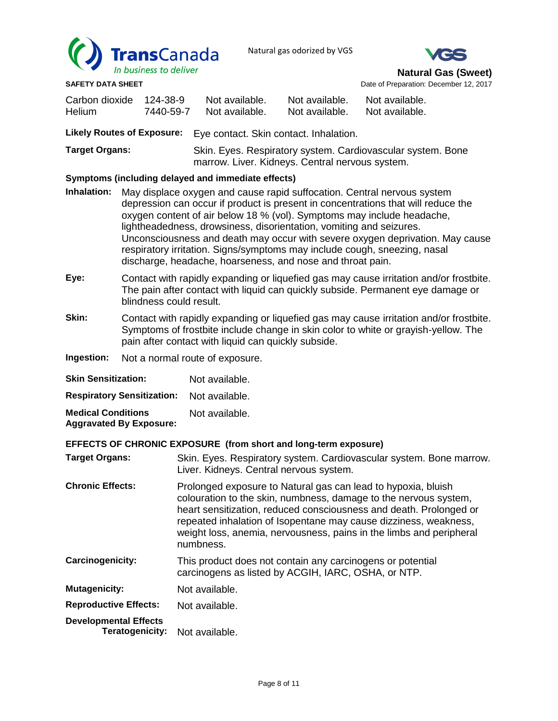



**SAFETY DATA SHEET DATA SHEET Date of Preparation: December 12, 2017 Date of Preparation: December 12, 2017** 

| Carbon dioxide<br>Helium                           | 124-38-9<br>7440-59-7 | Not available.<br>Not available.                                                                               | Not available.<br>Not available. | Not available.<br>Not available.                                                                                                                                                                                              |
|----------------------------------------------------|-----------------------|----------------------------------------------------------------------------------------------------------------|----------------------------------|-------------------------------------------------------------------------------------------------------------------------------------------------------------------------------------------------------------------------------|
| <b>Likely Routes of Exposure:</b>                  |                       | Eye contact. Skin contact. Inhalation.                                                                         |                                  |                                                                                                                                                                                                                               |
| <b>Target Organs:</b>                              |                       | Skin. Eyes. Respiratory system. Cardiovascular system. Bone<br>marrow. Liver. Kidneys. Central nervous system. |                                  |                                                                                                                                                                                                                               |
| Symptoms (including delayed and immediate effects) |                       |                                                                                                                |                                  |                                                                                                                                                                                                                               |
|                                                    |                       |                                                                                                                |                                  | in the contraction of the contract of the contract of the contract of the contract of the contract of the contract of the contract of the contract of the contract of the contract of the contract of the contract of the con |

- **Inhalation:** May displace oxygen and cause rapid suffocation. Central nervous system depression can occur if product is present in concentrations that will reduce the oxygen content of air below 18 % (vol). Symptoms may include headache, lightheadedness, drowsiness, disorientation, vomiting and seizures. Unconsciousness and death may occur with severe oxygen deprivation. May cause respiratory irritation. Signs/symptoms may include cough, sneezing, nasal discharge, headache, hoarseness, and nose and throat pain.
- **Eye:** Contact with rapidly expanding or liquefied gas may cause irritation and/or frostbite. The pain after contact with liquid can quickly subside. Permanent eye damage or blindness could result.
- **Skin:** Contact with rapidly expanding or liquefied gas may cause irritation and/or frostbite. Symptoms of frostbite include change in skin color to white or grayish-yellow. The pain after contact with liquid can quickly subside.
- **Ingestion:** Not a normal route of exposure.

| <b>Skin Sensitization:</b>                                  | Not available. |
|-------------------------------------------------------------|----------------|
| <b>Respiratory Sensitization:</b>                           | Not available. |
| <b>Medical Conditions</b><br><b>Aggravated By Exposure:</b> | Not available. |

## **EFFECTS OF CHRONIC EXPOSURE (from short and long-term exposure)**

|                              | EFFECTS OF CHRONIC EXPOSURE (from short and long-term exposure)                                                                                                                                                                                                                                                                                                 |
|------------------------------|-----------------------------------------------------------------------------------------------------------------------------------------------------------------------------------------------------------------------------------------------------------------------------------------------------------------------------------------------------------------|
| <b>Target Organs:</b>        | Skin. Eyes. Respiratory system. Cardiovascular system. Bone marrow.<br>Liver. Kidneys. Central nervous system.                                                                                                                                                                                                                                                  |
| <b>Chronic Effects:</b>      | Prolonged exposure to Natural gas can lead to hypoxia, bluish<br>colouration to the skin, numbness, damage to the nervous system,<br>heart sensitization, reduced consciousness and death. Prolonged or<br>repeated inhalation of Isopentane may cause dizziness, weakness,<br>weight loss, anemia, nervousness, pains in the limbs and peripheral<br>numbness. |
| Carcinogenicity:             | This product does not contain any carcinogens or potential<br>carcinogens as listed by ACGIH, IARC, OSHA, or NTP.                                                                                                                                                                                                                                               |
| <b>Mutagenicity:</b>         | Not available.                                                                                                                                                                                                                                                                                                                                                  |
| <b>Reproductive Effects:</b> | Not available.                                                                                                                                                                                                                                                                                                                                                  |

**Developmental Effects Teratogenicity:** Not available.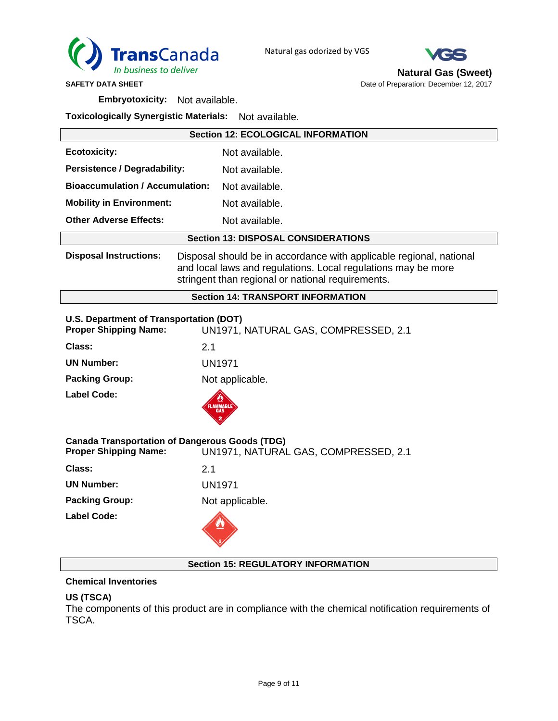



**Natural Gas (Sweet)**

**SAFETY DATA SHEET DATA SHEET Date of Preparation: December 12, 2017 Date of Preparation: December 12, 2017** 

**Embryotoxicity:** Not available.

**Toxicologically Synergistic Materials:** Not available.

|                                                                                       | <b>Section 12: ECOLOGICAL INFORMATION</b>                                                                                                                                                 |  |  |
|---------------------------------------------------------------------------------------|-------------------------------------------------------------------------------------------------------------------------------------------------------------------------------------------|--|--|
| <b>Ecotoxicity:</b>                                                                   | Not available.                                                                                                                                                                            |  |  |
| <b>Persistence / Degradability:</b>                                                   | Not available.                                                                                                                                                                            |  |  |
| <b>Bioaccumulation / Accumulation:</b>                                                | Not available.                                                                                                                                                                            |  |  |
| <b>Mobility in Environment:</b>                                                       | Not available.                                                                                                                                                                            |  |  |
| <b>Other Adverse Effects:</b>                                                         | Not available.                                                                                                                                                                            |  |  |
|                                                                                       | <b>Section 13: DISPOSAL CONSIDERATIONS</b>                                                                                                                                                |  |  |
| <b>Disposal Instructions:</b>                                                         | Disposal should be in accordance with applicable regional, national<br>and local laws and regulations. Local regulations may be more<br>stringent than regional or national requirements. |  |  |
|                                                                                       | <b>Section 14: TRANSPORT INFORMATION</b>                                                                                                                                                  |  |  |
| U.S. Department of Transportation (DOT)<br><b>Proper Shipping Name:</b>               | UN1971, NATURAL GAS, COMPRESSED, 2.1                                                                                                                                                      |  |  |
| Class:                                                                                | 2.1                                                                                                                                                                                       |  |  |
| <b>UN Number:</b>                                                                     | <b>UN1971</b>                                                                                                                                                                             |  |  |
| <b>Packing Group:</b>                                                                 | Not applicable.                                                                                                                                                                           |  |  |
| <b>Label Code:</b>                                                                    | <b>LAMMABL</b>                                                                                                                                                                            |  |  |
| <b>Canada Transportation of Dangerous Goods (TDG)</b><br><b>Proper Shipping Name:</b> |                                                                                                                                                                                           |  |  |
| Class:                                                                                | UN1971, NATURAL GAS, COMPRESSED, 2.1<br>2.1                                                                                                                                               |  |  |
| <b>UN Number:</b>                                                                     | <b>UN1971</b>                                                                                                                                                                             |  |  |
| <b>Packing Group:</b>                                                                 | Not applicable.                                                                                                                                                                           |  |  |
| Label Code:                                                                           |                                                                                                                                                                                           |  |  |
|                                                                                       | <b>Section 15: REGULATORY INFORMATION</b>                                                                                                                                                 |  |  |

## **Chemical Inventories**

## **US (TSCA)**

The components of this product are in compliance with the chemical notification requirements of TSCA.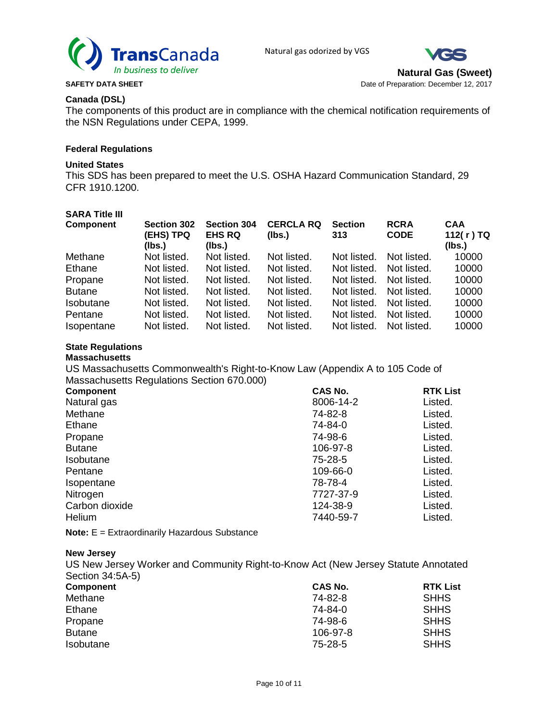



**Natural Gas (Sweet) SAFETY DATA SHEET DATA SHEET Date of Preparation: December 12, 2017 Date of Preparation: December 12, 2017** 

## **Canada (DSL)**

The components of this product are in compliance with the chemical notification requirements of the NSN Regulations under CEPA, 1999.

#### **Federal Regulations**

## **United States**

This SDS has been prepared to meet the U.S. OSHA Hazard Communication Standard, 29 CFR 1910.1200.

## **SARA Title III**

| <b>Component</b> | <b>Section 302</b><br>(EHS) TPQ<br>(Ibs.) | <b>Section 304</b><br><b>EHS RQ</b><br>(lbs.) | <b>CERCLA RQ</b><br>(lbs.) | <b>Section</b><br>313 | <b>RCRA</b><br><b>CODE</b> | <b>CAA</b><br>112(r)TQ<br>(Ibs.) |
|------------------|-------------------------------------------|-----------------------------------------------|----------------------------|-----------------------|----------------------------|----------------------------------|
| Methane          | Not listed.                               | Not listed.                                   | Not listed.                | Not listed.           | Not listed.                | 10000                            |
| Ethane           | Not listed.                               | Not listed.                                   | Not listed.                | Not listed.           | Not listed.                | 10000                            |
| Propane          | Not listed.                               | Not listed.                                   | Not listed.                | Not listed.           | Not listed.                | 10000                            |
| <b>Butane</b>    | Not listed.                               | Not listed.                                   | Not listed.                | Not listed.           | Not listed.                | 10000                            |
| Isobutane        | Not listed.                               | Not listed.                                   | Not listed.                | Not listed.           | Not listed.                | 10000                            |
| Pentane          | Not listed.                               | Not listed.                                   | Not listed.                | Not listed.           | Not listed.                | 10000                            |
| Isopentane       | Not listed.                               | Not listed.                                   | Not listed.                | Not listed.           | Not listed.                | 10000                            |

# **State Regulations**

## **Massachusetts**

US Massachusetts Commonwealth's Right-to-Know Law (Appendix A to 105 Code of Massachusetts Regulations Section 670.000)

|           | <b>RTK List</b> |
|-----------|-----------------|
| 8006-14-2 | Listed.         |
| 74-82-8   | Listed.         |
| 74-84-0   | Listed.         |
| 74-98-6   | Listed.         |
| 106-97-8  | Listed.         |
| 75-28-5   | Listed.         |
| 109-66-0  | Listed.         |
| 78-78-4   | Listed.         |
| 7727-37-9 | Listed.         |
| 124-38-9  | Listed.         |
| 7440-59-7 | Listed.         |
|           | <b>CAS No.</b>  |

**Note:** E = Extraordinarily Hazardous Substance

#### **New Jersey**

US New Jersey Worker and Community Right-to-Know Act (New Jersey Statute Annotated Section 34:5A-5)

| <b>Component</b> | CAS No.  | <b>RTK List</b> |
|------------------|----------|-----------------|
| Methane          | 74-82-8  | <b>SHHS</b>     |
| Ethane           | 74-84-0  | <b>SHHS</b>     |
| Propane          | 74-98-6  | <b>SHHS</b>     |
| <b>Butane</b>    | 106-97-8 | <b>SHHS</b>     |
| Isobutane        | 75-28-5  | <b>SHHS</b>     |
|                  |          |                 |